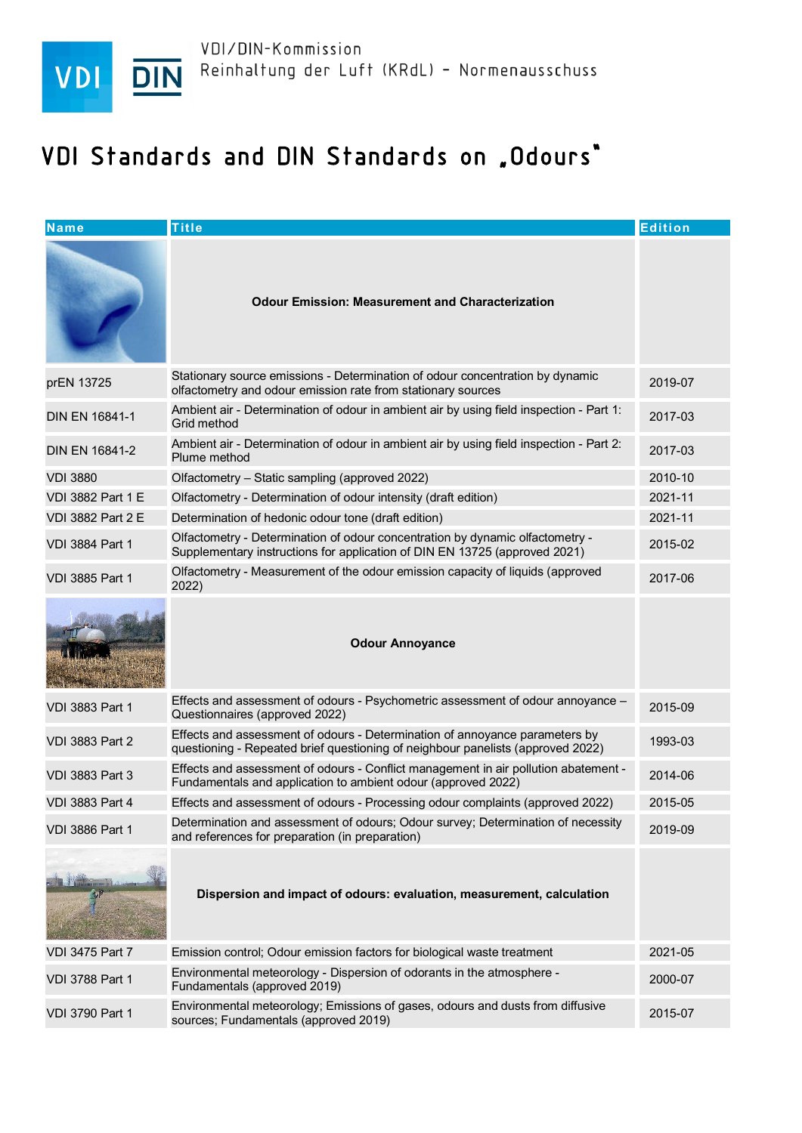

## VDI Standards and DIN Standards on "Odours"

| $N$ ame                  | <b>Title</b>                                                                                                                                                   | <b>Edition</b> |
|--------------------------|----------------------------------------------------------------------------------------------------------------------------------------------------------------|----------------|
|                          | <b>Odour Emission: Measurement and Characterization</b>                                                                                                        |                |
| prEN 13725               | Stationary source emissions - Determination of odour concentration by dynamic<br>olfactometry and odour emission rate from stationary sources                  | 2019-07        |
| <b>DIN EN 16841-1</b>    | Ambient air - Determination of odour in ambient air by using field inspection - Part 1:<br>Grid method                                                         | 2017-03        |
| <b>DIN EN 16841-2</b>    | Ambient air - Determination of odour in ambient air by using field inspection - Part 2:<br>Plume method                                                        | 2017-03        |
| <b>VDI 3880</b>          | Olfactometry - Static sampling (approved 2022)                                                                                                                 | 2010-10        |
| <b>VDI 3882 Part 1 E</b> | Olfactometry - Determination of odour intensity (draft edition)                                                                                                | 2021-11        |
| VDI 3882 Part 2 E        | Determination of hedonic odour tone (draft edition)                                                                                                            | 2021-11        |
| <b>VDI 3884 Part 1</b>   | Olfactometry - Determination of odour concentration by dynamic olfactometry -<br>Supplementary instructions for application of DIN EN 13725 (approved 2021)    | 2015-02        |
| <b>VDI 3885 Part 1</b>   | Olfactometry - Measurement of the odour emission capacity of liquids (approved<br>2022)                                                                        | 2017-06        |
|                          | <b>Odour Annoyance</b>                                                                                                                                         |                |
| <b>VDI 3883 Part 1</b>   | Effects and assessment of odours - Psychometric assessment of odour annoyance -<br>Questionnaires (approved 2022)                                              | 2015-09        |
| <b>VDI 3883 Part 2</b>   | Effects and assessment of odours - Determination of annoyance parameters by<br>questioning - Repeated brief questioning of neighbour panelists (approved 2022) | 1993-03        |
| <b>VDI 3883 Part 3</b>   | Effects and assessment of odours - Conflict management in air pollution abatement -<br>Fundamentals and application to ambient odour (approved 2022)           | 2014-06        |
| <b>VDI 3883 Part 4</b>   | Effects and assessment of odours - Processing odour complaints (approved 2022)                                                                                 | 2015-05        |
| <b>VDI 3886 Part 1</b>   | Determination and assessment of odours; Odour survey; Determination of necessity<br>and references for preparation (in preparation)                            | 2019-09        |
|                          | Dispersion and impact of odours: evaluation, measurement, calculation                                                                                          |                |
| <b>VDI 3475 Part 7</b>   | Emission control; Odour emission factors for biological waste treatment                                                                                        | 2021-05        |
| <b>VDI 3788 Part 1</b>   | Environmental meteorology - Dispersion of odorants in the atmosphere -<br>Fundamentals (approved 2019)                                                         | 2000-07        |
| <b>VDI 3790 Part 1</b>   | Environmental meteorology; Emissions of gases, odours and dusts from diffusive<br>sources; Fundamentals (approved 2019)                                        | 2015-07        |